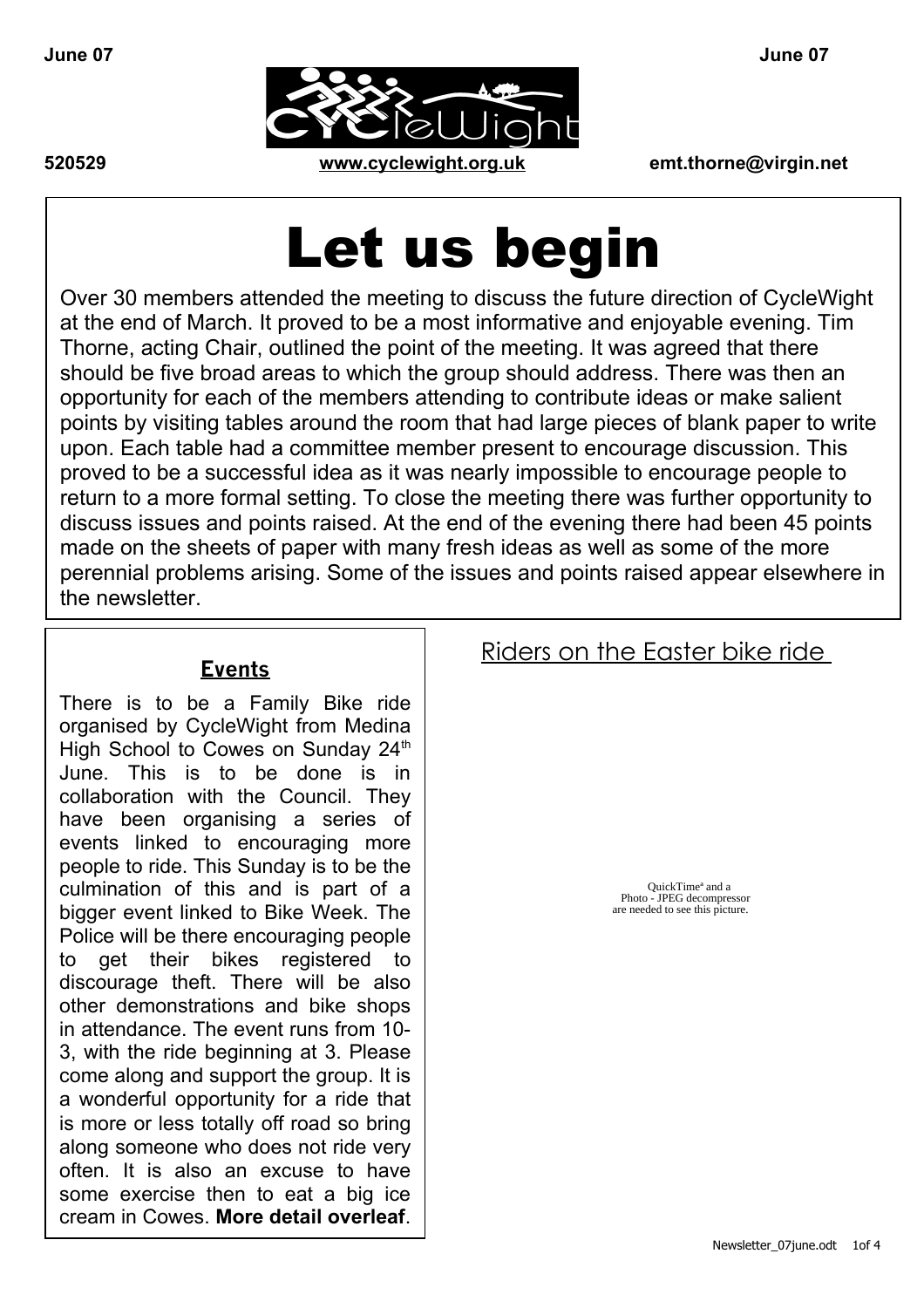

# Let us begin

Over 30 members attended the meeting to discuss the future direction of CycleWight at the end of March. It proved to be a most informative and enjoyable evening. Tim Thorne, acting Chair, outlined the point of the meeting. It was agreed that there should be five broad areas to which the group should address. There was then an opportunity for each of the members attending to contribute ideas or make salient points by visiting tables around the room that had large pieces of blank paper to write upon. Each table had a committee member present to encourage discussion. This proved to be a successful idea as it was nearly impossible to encourage people to return to a more formal setting. To close the meeting there was further opportunity to discuss issues and points raised. At the end of the evening there had been 45 points made on the sheets of paper with many fresh ideas as well as some of the more perennial problems arising. Some of the issues and points raised appear elsewhere in the newsletter.

#### **Events**

There is to be a Family Bike ride organised by CycleWight from Medina High School to Cowes on Sunday 24<sup>th</sup> June. This is to be done is in collaboration with the Council. They have been organising a series of events linked to encouraging more people to ride. This Sunday is to be the culmination of this and is part of a bigger event linked to Bike Week. The Police will be there encouraging people to get their bikes registered to discourage theft. There will be also other demonstrations and bike shops in attendance. The event runs from 10- 3, with the ride beginning at 3. Please come along and support the group. It is a wonderful opportunity for a ride that is more or less totally off road so bring along someone who does not ride very often. It is also an excuse to have some exercise then to eat a big ice cream in Cowes. **More detail overleaf**.

#### Riders on the Easter bike ride

QuickTimeª and a Photo - JPEG decompressor are needed to see this picture.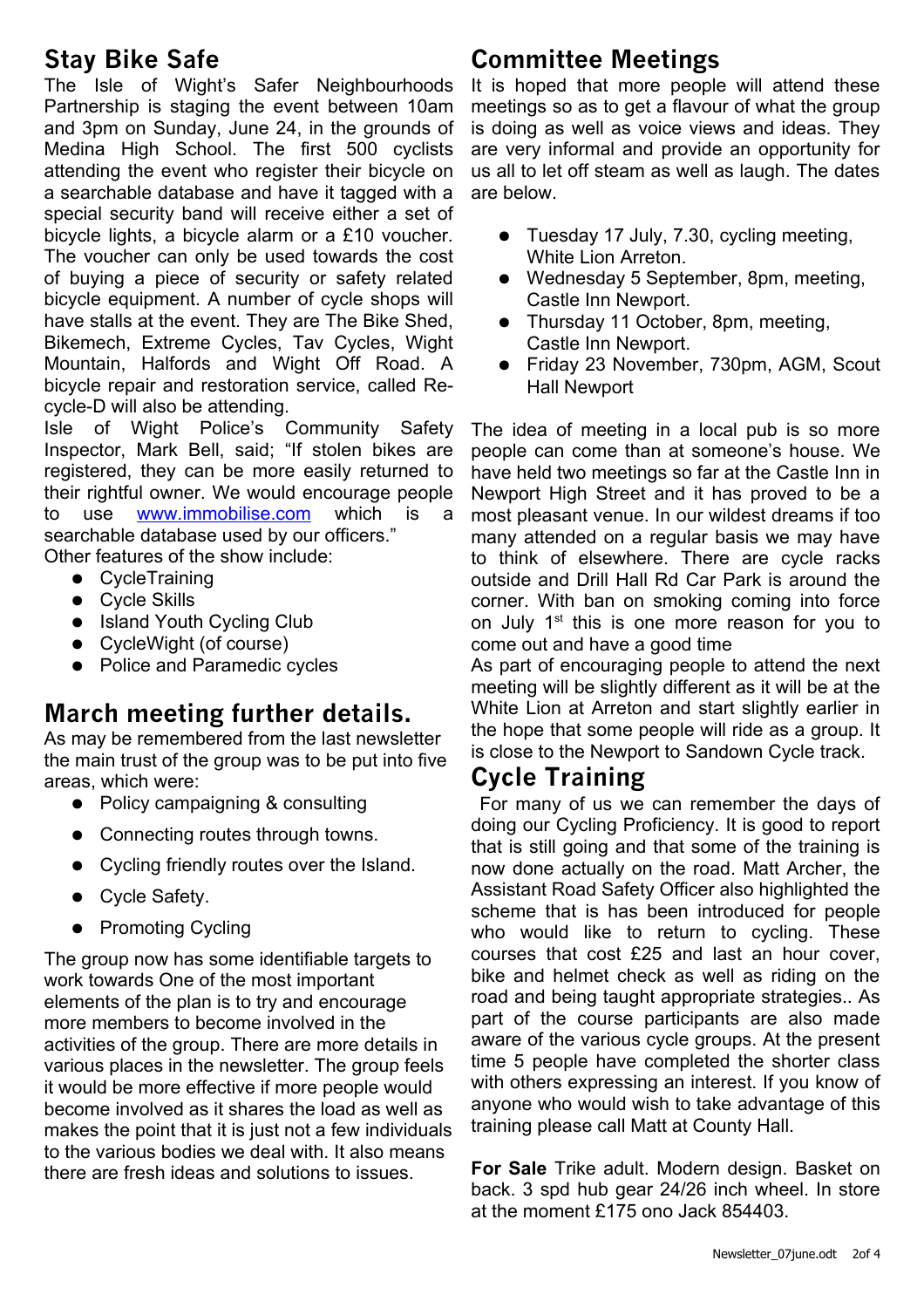#### **Stay Bike Safe**

The Isle of Wight's Safer Neighbourhoods Partnership is staging the event between 10am and 3pm on Sunday, June 24, in the grounds of Medina High School. The first 500 cyclists attending the event who register their bicycle on a searchable database and have it tagged with a special security band will receive either a set of bicycle lights, a bicycle alarm or a £10 voucher. The voucher can only be used towards the cost of buying a piece of security or safety related bicycle equipment. A number of cycle shops will have stalls at the event. They are The Bike Shed, Bikemech, Extreme Cycles, Tav Cycles, Wight Mountain, Halfords and Wight Off Road. A bicycle repair and restoration service, called Recycle-D will also be attending.

Isle of Wight Police's Community Safety Inspector, Mark Bell, said; "If stolen bikes are registered, they can be more easily returned to their rightful owner. We would encourage people to use [www.immobilise.com](http://www.immobilise.com/) which is a searchable database used by our officers."

Other features of the show include:

- CycleTraining
- Cycle Skills
- Island Youth Cycling Club
- CycleWight (of course)
- Police and Paramedic cycles

#### **March meeting further details.**

As may be remembered from the last newsletter the main trust of the group was to be put into five areas, which were:

- Policy campaigning & consulting
- Connecting routes through towns.
- Cycling friendly routes over the Island.
- Cycle Safety.
- Promoting Cycling

The group now has some identifiable targets to work towards One of the most important elements of the plan is to try and encourage more members to become involved in the activities of the group. There are more details in various places in the newsletter. The group feels it would be more effective if more people would become involved as it shares the load as well as makes the point that it is just not a few individuals to the various bodies we deal with. It also means there are fresh ideas and solutions to issues.

#### **Committee Meetings**

It is hoped that more people will attend these meetings so as to get a flavour of what the group is doing as well as voice views and ideas. They are very informal and provide an opportunity for us all to let off steam as well as laugh. The dates are below.

- Tuesday 17 July, 7.30, cycling meeting, White Lion Arreton.
- Wednesday 5 September, 8pm, meeting, Castle Inn Newport.
- Thursday 11 October, 8pm, meeting, Castle Inn Newport.
- Friday 23 November, 730pm, AGM, Scout Hall Newport

The idea of meeting in a local pub is so more people can come than at someone's house. We have held two meetings so far at the Castle Inn in Newport High Street and it has proved to be a most pleasant venue. In our wildest dreams if too many attended on a regular basis we may have to think of elsewhere. There are cycle racks outside and Drill Hall Rd Car Park is around the corner. With ban on smoking coming into force on July 1<sup>st</sup> this is one more reason for you to come out and have a good time

As part of encouraging people to attend the next meeting will be slightly different as it will be at the White Lion at Arreton and start slightly earlier in the hope that some people will ride as a group. It is close to the Newport to Sandown Cycle track.

#### **Cycle Training**

For many of us we can remember the days of doing our Cycling Proficiency. It is good to report that is still going and that some of the training is now done actually on the road. Matt Archer, the Assistant Road Safety Officer also highlighted the scheme that is has been introduced for people who would like to return to cycling. These courses that cost £25 and last an hour cover, bike and helmet check as well as riding on the road and being taught appropriate strategies.. As part of the course participants are also made aware of the various cycle groups. At the present time 5 people have completed the shorter class with others expressing an interest. If you know of anyone who would wish to take advantage of this training please call Matt at County Hall.

**For Sale** Trike adult. Modern design. Basket on back. 3 spd hub gear 24/26 inch wheel. In store at the moment £175 ono Jack 854403.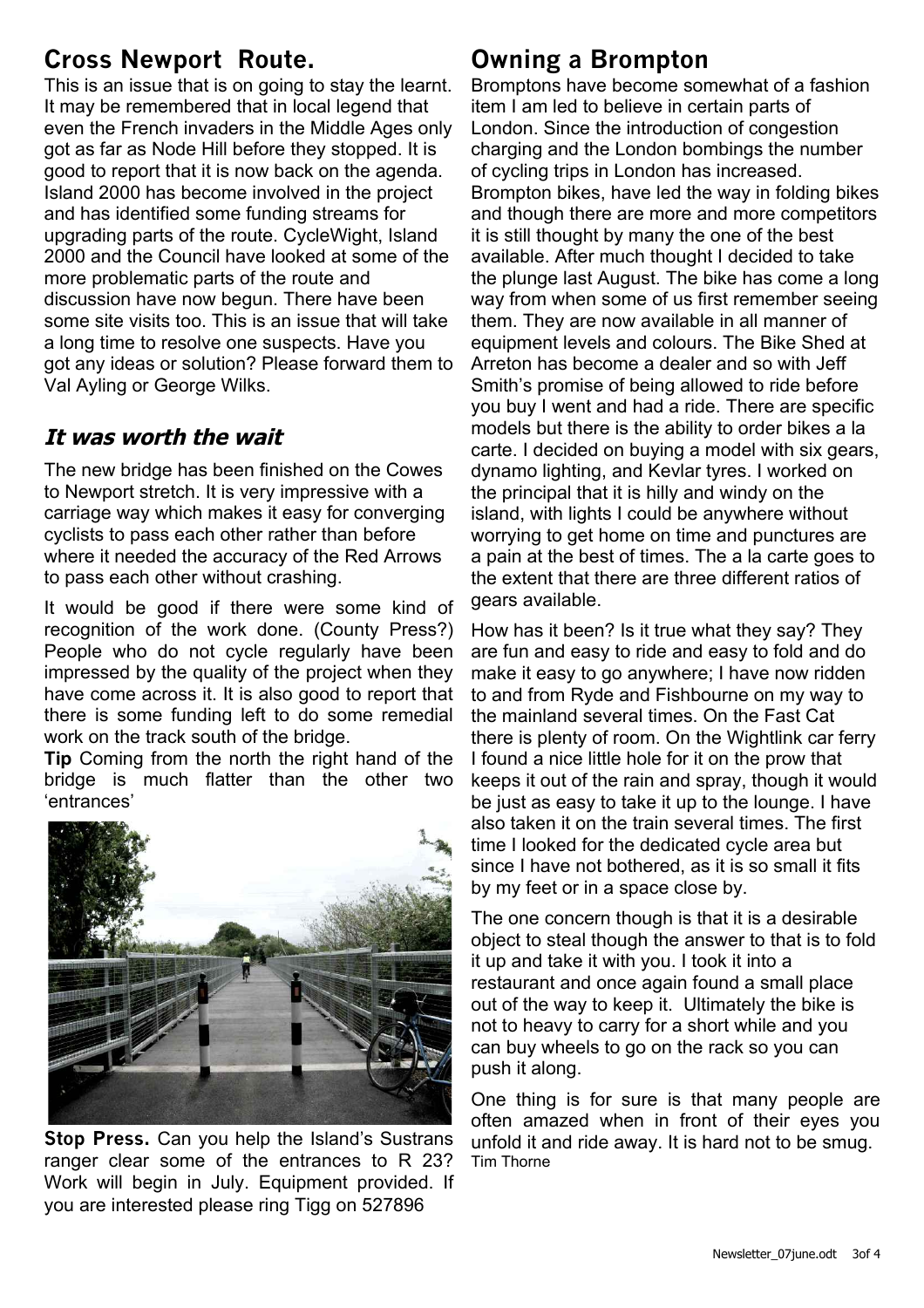## **Cross Newport Route.**

This is an issue that is on going to stay the learnt. It may be remembered that in local legend that even the French invaders in the Middle Ages only got as far as Node Hill before they stopped. It is good to report that it is now back on the agenda. Island 2000 has become involved in the project and has identified some funding streams for upgrading parts of the route. CycleWight, Island 2000 and the Council have looked at some of the more problematic parts of the route and discussion have now begun. There have been some site visits too. This is an issue that will take a long time to resolve one suspects. Have you got any ideas or solution? Please forward them to Val Ayling or George Wilks.

#### **It was worth the wait**

The new bridge has been finished on the Cowes to Newport stretch. It is very impressive with a carriage way which makes it easy for converging cyclists to pass each other rather than before where it needed the accuracy of the Red Arrows to pass each other without crashing.

It would be good if there were some kind of recognition of the work done. (County Press?) People who do not cycle regularly have been impressed by the quality of the project when they have come across it. It is also good to report that there is some funding left to do some remedial work on the track south of the bridge.

**Tip** Coming from the north the right hand of the bridge is much flatter than the other two 'entrances'



**Stop Press.** Can you help the Island's Sustrans ranger clear some of the entrances to R 23? Work will begin in July. Equipment provided. If you are interested please ring Tigg on 527896

## **Owning a Brompton**

Bromptons have become somewhat of a fashion item I am led to believe in certain parts of London. Since the introduction of congestion charging and the London bombings the number of cycling trips in London has increased. Brompton bikes, have led the way in folding bikes and though there are more and more competitors it is still thought by many the one of the best available. After much thought I decided to take the plunge last August. The bike has come a long way from when some of us first remember seeing them. They are now available in all manner of equipment levels and colours. The Bike Shed at Arreton has become a dealer and so with Jeff Smith's promise of being allowed to ride before you buy I went and had a ride. There are specific models but there is the ability to order bikes a la carte. I decided on buying a model with six gears, dynamo lighting, and Kevlar tyres. I worked on the principal that it is hilly and windy on the island, with lights I could be anywhere without worrying to get home on time and punctures are a pain at the best of times. The a la carte goes to the extent that there are three different ratios of gears available.

How has it been? Is it true what they say? They are fun and easy to ride and easy to fold and do make it easy to go anywhere; I have now ridden to and from Ryde and Fishbourne on my way to the mainland several times. On the Fast Cat there is plenty of room. On the Wightlink car ferry I found a nice little hole for it on the prow that keeps it out of the rain and spray, though it would be just as easy to take it up to the lounge. I have also taken it on the train several times. The first time I looked for the dedicated cycle area but since I have not bothered, as it is so small it fits by my feet or in a space close by.

The one concern though is that it is a desirable object to steal though the answer to that is to fold it up and take it with you. I took it into a restaurant and once again found a small place out of the way to keep it. Ultimately the bike is not to heavy to carry for a short while and you can buy wheels to go on the rack so you can push it along.

One thing is for sure is that many people are often amazed when in front of their eyes you unfold it and ride away. It is hard not to be smug. Tim Thorne